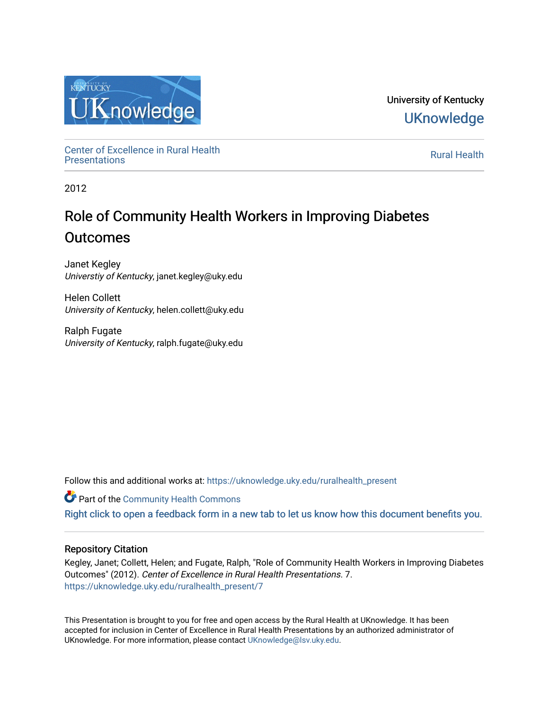

University of Kentucky **UKnowledge** 

Center of Excellence in Rural Health<br>Presentations Definer of Excellence in Kural Health<br>[Presentations](https://uknowledge.uky.edu/ruralhealth_present) **Rural Health** 

2012

# Role of Community Health Workers in Improving Diabetes **Outcomes**

Janet Kegley Universtiy of Kentucky, janet.kegley@uky.edu

Helen Collett University of Kentucky, helen.collett@uky.edu

Ralph Fugate University of Kentucky, ralph.fugate@uky.edu

Follow this and additional works at: [https://uknowledge.uky.edu/ruralhealth\\_present](https://uknowledge.uky.edu/ruralhealth_present?utm_source=uknowledge.uky.edu%2Fruralhealth_present%2F7&utm_medium=PDF&utm_campaign=PDFCoverPages) 

**Part of the Community Health Commons** 

[Right click to open a feedback form in a new tab to let us know how this document benefits you.](https://uky.az1.qualtrics.com/jfe/form/SV_9mq8fx2GnONRfz7)

### Repository Citation

Kegley, Janet; Collett, Helen; and Fugate, Ralph, "Role of Community Health Workers in Improving Diabetes Outcomes" (2012). Center of Excellence in Rural Health Presentations. 7. [https://uknowledge.uky.edu/ruralhealth\\_present/7](https://uknowledge.uky.edu/ruralhealth_present/7?utm_source=uknowledge.uky.edu%2Fruralhealth_present%2F7&utm_medium=PDF&utm_campaign=PDFCoverPages) 

This Presentation is brought to you for free and open access by the Rural Health at UKnowledge. It has been accepted for inclusion in Center of Excellence in Rural Health Presentations by an authorized administrator of UKnowledge. For more information, please contact [UKnowledge@lsv.uky.edu](mailto:UKnowledge@lsv.uky.edu).